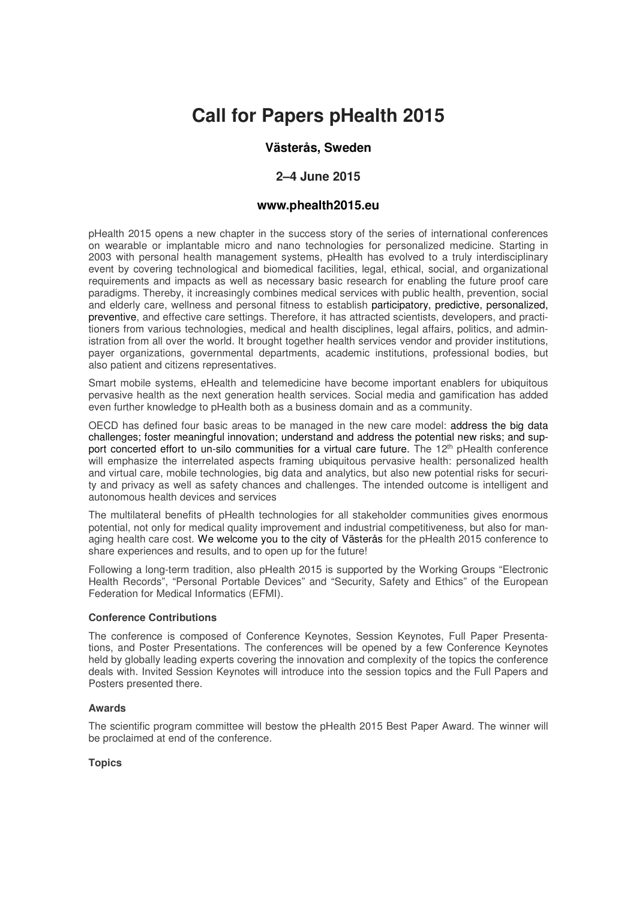# **Call for Papers pHealth 2015**

## **Västerås, Sweden**

## **2–4 June 2015**

## **www.phealth2015.eu**

pHealth 2015 opens a new chapter in the success story of the series of international conferences on wearable or implantable micro and nano technologies for personalized medicine. Starting in 2003 with personal health management systems, pHealth has evolved to a truly interdisciplinary event by covering technological and biomedical facilities, legal, ethical, social, and organizational requirements and impacts as well as necessary basic research for enabling the future proof care paradigms. Thereby, it increasingly combines medical services with public health, prevention, social and elderly care, wellness and personal fitness to establish participatory, predictive, personalized, preventive, and effective care settings. Therefore, it has attracted scientists, developers, and practitioners from various technologies, medical and health disciplines, legal affairs, politics, and administration from all over the world. It brought together health services vendor and provider institutions, payer organizations, governmental departments, academic institutions, professional bodies, but also patient and citizens representatives.

Smart mobile systems, eHealth and telemedicine have become important enablers for ubiquitous pervasive health as the next generation health services. Social media and gamification has added even further knowledge to pHealth both as a business domain and as a community.

OECD has defined four basic areas to be managed in the new care model: address the big data challenges; foster meaningful innovation; understand and address the potential new risks; and support concerted effort to un-silo communities for a virtual care future. The  $12<sup>th</sup>$  pHealth conference will emphasize the interrelated aspects framing ubiquitous pervasive health: personalized health and virtual care, mobile technologies, big data and analytics, but also new potential risks for security and privacy as well as safety chances and challenges. The intended outcome is intelligent and autonomous health devices and services

The multilateral benefits of pHealth technologies for all stakeholder communities gives enormous potential, not only for medical quality improvement and industrial competitiveness, but also for managing health care cost. We welcome you to the city of Västerås for the pHealth 2015 conference to share experiences and results, and to open up for the future!

Following a long-term tradition, also pHealth 2015 is supported by the Working Groups "Electronic Health Records", "Personal Portable Devices" and "Security, Safety and Ethics" of the European Federation for Medical Informatics (EFMI).

## **Conference Contributions**

The conference is composed of Conference Keynotes, Session Keynotes, Full Paper Presentations, and Poster Presentations. The conferences will be opened by a few Conference Keynotes held by globally leading experts covering the innovation and complexity of the topics the conference deals with. Invited Session Keynotes will introduce into the session topics and the Full Papers and Posters presented there.

#### **Awards**

The scientific program committee will bestow the pHealth 2015 Best Paper Award. The winner will be proclaimed at end of the conference.

## **Topics**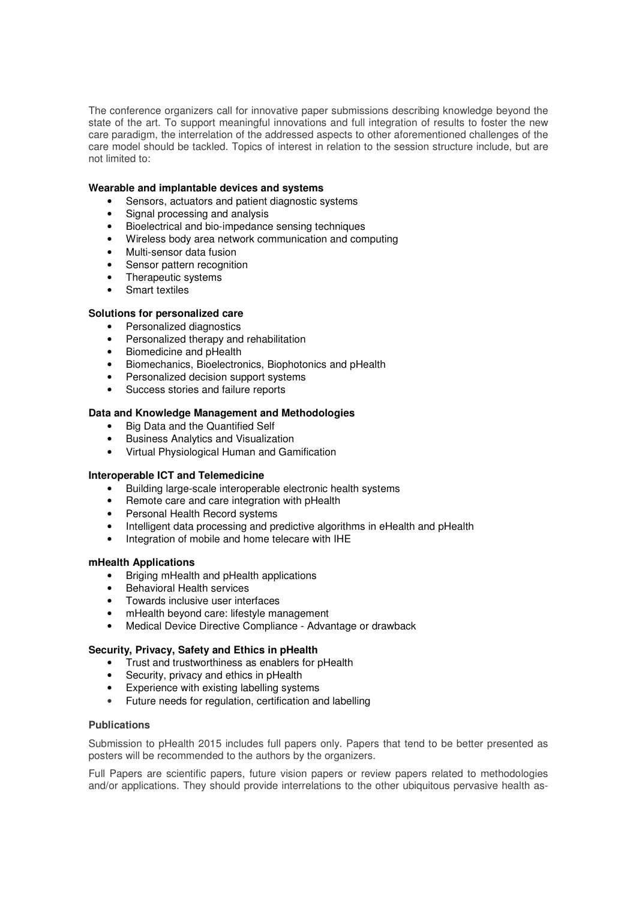The conference organizers call for innovative paper submissions describing knowledge beyond the state of the art. To support meaningful innovations and full integration of results to foster the new care paradigm, the interrelation of the addressed aspects to other aforementioned challenges of the care model should be tackled. Topics of interest in relation to the session structure include, but are not limited to:

## **Wearable and implantable devices and systems**

- Sensors, actuators and patient diagnostic systems
- Signal processing and analysis
- Bioelectrical and bio-impedance sensing techniques
- Wireless body area network communication and computing
- Multi-sensor data fusion
- Sensor pattern recognition
- Therapeutic systems
- Smart textiles

## **Solutions for personalized care**

- Personalized diagnostics
- Personalized therapy and rehabilitation
- Biomedicine and pHealth
- Biomechanics, Bioelectronics, Biophotonics and pHealth
- Personalized decision support systems
- Success stories and failure reports

## **Data and Knowledge Management and Methodologies**

- Big Data and the Quantified Self
- Business Analytics and Visualization
- Virtual Physiological Human and Gamification

## **Interoperable ICT and Telemedicine**

- Building large-scale interoperable electronic health systems
- Remote care and care integration with pHealth
- Personal Health Record systems
- Intelligent data processing and predictive algorithms in eHealth and pHealth
- Integration of mobile and home telecare with IHE

## **mHealth Applications**

- Briging mHealth and pHealth applications
- Behavioral Health services
- Towards inclusive user interfaces
- mHealth beyond care: lifestyle management
- Medical Device Directive Compliance Advantage or drawback

## **Security, Privacy, Safety and Ethics in pHealth**

- Trust and trustworthiness as enablers for pHealth
- Security, privacy and ethics in pHealth
- Experience with existing labelling systems
- Future needs for regulation, certification and labelling

## **Publications**

Submission to pHealth 2015 includes full papers only. Papers that tend to be better presented as posters will be recommended to the authors by the organizers.

Full Papers are scientific papers, future vision papers or review papers related to methodologies and/or applications. They should provide interrelations to the other ubiquitous pervasive health as-